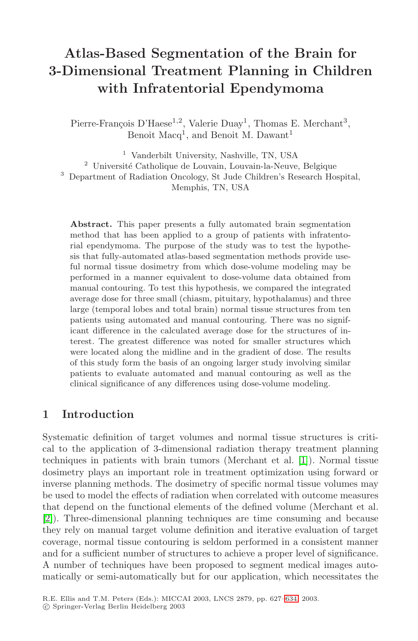# **Atlas-Based Segmentation of the Brain for 3-Dimensional Treatment Planning in Children with Infratentorial Ependymoma**

Pierre-François D'Haese<sup>1,2</sup>, Valerie Duay<sup>1</sup>, Thomas E. Merchant<sup>3</sup>, Benoit Macq<sup>1</sup>, and Benoit M. Dawant<sup>1</sup>

<sup>1</sup> Vanderbilt University, Nashville, TN, USA <sup>2</sup> Université Catholique de Louvain, Louvain-la-Neuve, Belgique <sup>3</sup> Department of Radiation Oncology, St Jude Children's Research Hospital, Memphis, TN, USA

**Abstract.** This paper presents a fully automated brain segmentation method that has been applied to a group of patients with infratentorial ependymoma. The purpose of the study was to test the hypothesis that fully-automated atlas-based segmentation methods provide useful normal tissue dosimetry from which dose-volume modeling may be performed in a manner equivalent to dose-volume data obtained from manual contouring. To test this hypothesis, we compared the integrated average dose for three small (chiasm, pituitary, hypothalamus) and three large (temporal lobes and total brain) normal tissue structures from ten patients using automated and manual contouring. There was no significant difference in the calculated average dose for the structures of interest. The greatest difference was noted for smaller structures which were located along the midline and in the gradient of dose. The results of this study form the basis of an ongoing larger study involving similar patients to evaluate automated and manual contouring as well as the clinical significance of any differences using dose-volume modeling.

## **1 Introduction**

Systematic definition of target volumes and normal tissue structures is critical to the application of 3-dimensional radiation therapy treatment planning techniques in patients with brain tumors (Merchant et al. [\[1\]](#page-6-0)). Normal tissue dosimetry plays an important role in treatment optimization using forward or inverse planning methods. The dosimetry of specific normal tissue volumes may be used to model the effects of radiation when correlated with outcome measures that depend on the functional elements of the defined volume (Merchant et al. [\[2\]](#page-6-0)). Three-dimensional planning techniques are time consuming and because they rely on manual target volume definition and iterative evaluation of target coverage, normal tissue contouring is seldom performed in a consistent manner and for a sufficient number of structures to achieve a proper level of significance. A number of techniques have been proposed to segment medical images automatically or semi-automatically but for our application, which necessitates the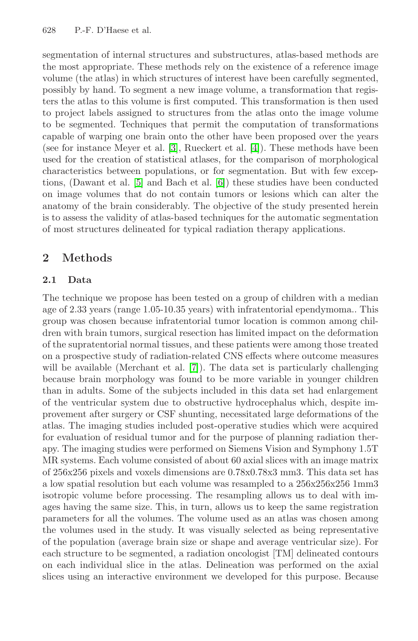segmentation of internal structures and substructures, atlas-based methods are the most appropriate. These methods rely on the existence of a reference image volume (the atlas) in which structures of interest have been carefully segmented, possibly by hand. To segment a new image volume, a transformation that registers the atlas to this volume is first computed. This transformation is then used to project labels assigned to structures from the atlas onto the image volume to be segmented. Techniques that permit the computation of transformations capable of warping one brain onto the other have been proposed over the years (see for instance Meyer et al. [\[3\]](#page-6-0), Rueckert et al. [\[4\]](#page-6-0)). These methods have been used for the creation of statistical atlases, for the comparison of morphological characteristics between populations, or for segmentation. But with few exceptions, (Dawant et al. [\[5\]](#page-7-0) and Bach et al. [\[6\]](#page-7-0)) these studies have been conducted on image volumes that do not contain tumors or lesions which can alter the anatomy of the brain considerably. The objective of the study presented herein is to assess the validity of atlas-based techniques for the automatic segmentation of most structures delineated for typical radiation therapy applications.

# **2 Methods**

### **2.1 Data**

The technique we propose has been tested on a group of children with a median age of 2.33 years (range 1.05-10.35 years) with infratentorial ependymoma.. This group was chosen because infratentorial tumor location is common among children with brain tumors, surgical resection has limited impact on the deformation of the supratentorial normal tissues, and these patients were among those treated on a prospective study of radiation-related CNS effects where outcome measures will be available (Merchant et al. [\[7\]](#page-7-0)). The data set is particularly challenging because brain morphology was found to be more variable in younger children than in adults. Some of the subjects included in this data set had enlargement of the ventricular system due to obstructive hydrocephalus which, despite improvement after surgery or CSF shunting, necessitated large deformations of the atlas. The imaging studies included post-operative studies which were acquired for evaluation of residual tumor and for the purpose of planning radiation therapy. The imaging studies were performed on Siemens Vision and Symphony 1.5T MR systems. Each volume consisted of about 60 axial slices with an image matrix of 256x256 pixels and voxels dimensions are 0.78x0.78x3 mm3. This data set has a low spatial resolution but each volume was resampled to a 256x256x256 1mm3 isotropic volume before processing. The resampling allows us to deal with images having the same size. This, in turn, allows us to keep the same registration parameters for all the volumes. The volume used as an atlas was chosen among the volumes used in the study. It was visually selected as being representative of the population (average brain size or shape and average ventricular size). For each structure to be segmented, a radiation oncologist [TM] delineated contours on each individual slice in the atlas. Delineation was performed on the axial slices using an interactive environment we developed for this purpose. Because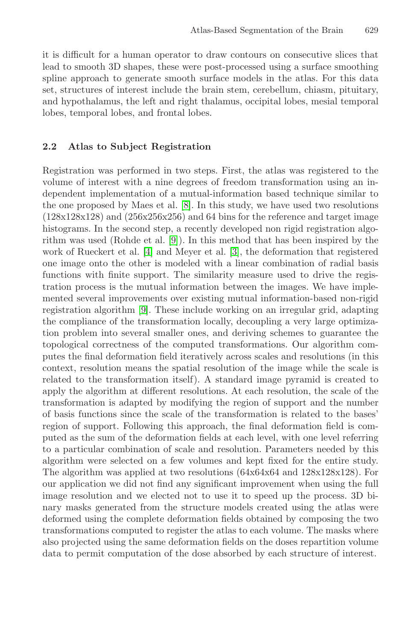it is difficult for a human operator to draw contours on consecutive slices that lead to smooth 3D shapes, these were post-processed using a surface smoothing spline approach to generate smooth surface models in the atlas. For this data set, structures of interest include the brain stem, cerebellum, chiasm, pituitary, and hypothalamus, the left and right thalamus, occipital lobes, mesial temporal lobes, temporal lobes, and frontal lobes.

#### **2.2 Atlas to Subject Registration**

Registration was performed in two steps. First, the atlas was registered to the volume of interest with a nine degrees of freedom transformation using an independent implementation of a mutual-information based technique similar to the one proposed by Maes et al. [\[8\]](#page-7-0). In this study, we have used two resolutions  $(128x128x128)$  and  $(256x256x256)$  and 64 bins for the reference and target image histograms. In the second step, a recently developed non rigid registration algorithm was used (Rohde et al. [\[9\]](#page-7-0)). In this method that has been inspired by the work of Rueckert et al. [\[4\]](#page-6-0) and Meyer et al. [\[3\]](#page-6-0), the deformation that registered one image onto the other is modeled with a linear combination of radial basis functions with finite support. The similarity measure used to drive the registration process is the mutual information between the images. We have implemented several improvements over existing mutual information-based non-rigid registration algorithm [\[9\]](#page-7-0). These include working on an irregular grid, adapting the compliance of the transformation locally, decoupling a very large optimization problem into several smaller ones, and deriving schemes to guarantee the topological correctness of the computed transformations. Our algorithm computes the final deformation field iteratively across scales and resolutions (in this context, resolution means the spatial resolution of the image while the scale is related to the transformation itself). A standard image pyramid is created to apply the algorithm at different resolutions. At each resolution, the scale of the transformation is adapted by modifying the region of support and the number of basis functions since the scale of the transformation is related to the bases' region of support. Following this approach, the final deformation field is computed as the sum of the deformation fields at each level, with one level referring to a particular combination of scale and resolution. Parameters needed by this algorithm were selected on a few volumes and kept fixed for the entire study. The algorithm was applied at two resolutions  $(64x64x64 \text{ and } 128x128x128)$ . For our application we did not find any significant improvement when using the full image resolution and we elected not to use it to speed up the process. 3D binary masks generated from the structure models created using the atlas were deformed using the complete deformation fields obtained by composing the two transformations computed to register the atlas to each volume. The masks where also projected using the same deformation fields on the doses repartition volume data to permit computation of the dose absorbed by each structure of interest.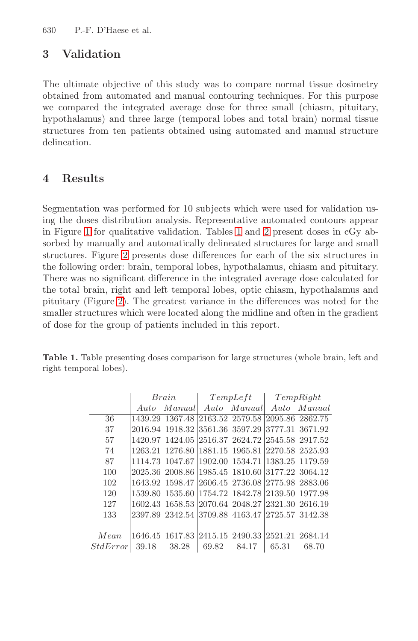# **3 Validation**

The ultimate objective of this study was to compare normal tissue dosimetry obtained from automated and manual contouring techniques. For this purpose we compared the integrated average dose for three small (chiasm, pituitary, hypothalamus) and three large (temporal lobes and total brain) normal tissue structures from ten patients obtained using automated and manual structure delineation.

# **4 Results**

Segmentation was performed for 10 subjects which were used for validation using the doses distribution analysis. Representative automated contours appear in Figure [1](#page-4-0) for qualitative validation. Tables 1 and [2](#page-4-0) present doses in cGy absorbed by manually and automatically delineated structures for large and small structures. Figure [2](#page-5-0) presents dose differences for each of the six structures in the following order: brain, temporal lobes, hypothalamus, chiasm and pituitary. There was no significant difference in the integrated average dose calculated for the total brain, right and left temporal lobes, optic chiasm, hypothalamus and pituitary (Figure [2\)](#page-5-0). The greatest variance in the differences was noted for the smaller structures which were located along the midline and often in the gradient of dose for the group of patients included in this report.

|                 | <i>Brain</i> |                                 |       | TempLeft                                        | TempRight       |                 |
|-----------------|--------------|---------------------------------|-------|-------------------------------------------------|-----------------|-----------------|
|                 | Auto         | Manual                          |       | Auto Manual                                     |                 | Auto Manual     |
| 36              |              | 1439.29 1367.48                 |       | 2163.52 2579.58                                 |                 | 2095.86 2862.75 |
| 37              |              |                                 |       | 2016.94 1918.32 3561.36 3597.29                 |                 | 3777.31 3671.92 |
| 57              |              | 1420.97 1424.05                 |       | 2516.37 2624.72                                 |                 | 2545.58 2917.52 |
| 74              |              | 1263.21 1276.80 1881.15 1965.81 |       |                                                 |                 | 2270.58 2525.93 |
| 87              |              | 1114.73 1047.67 1902.00 1534.71 |       |                                                 | 1383.25 1179.59 |                 |
| 100             |              |                                 |       | 2025.36 2008.86 1985.45 1810.60 3177.22 3064.12 |                 |                 |
| 102             |              | 1643.92 1598.47                 |       | 2606.45 2736.08                                 |                 | 2775.98 2883.06 |
| 120             |              |                                 |       | 1539.80 1535.60 1754.72 1842.78                 |                 | 2139.50 1977.98 |
| 127             |              |                                 |       | 1602.43 1658.53 2070.64 2048.27 2321.30 2616.19 |                 |                 |
| 133             |              | 2397.89 2342.54 3709.88 4163.47 |       |                                                 |                 | 2725.57 3142.38 |
|                 |              |                                 |       |                                                 |                 |                 |
| Mean            |              | 1646.45 1617.83                 |       | 2415.15 2490.33   2521.21 2684.14               |                 |                 |
| <i>StdError</i> | 39.18        | 38.28                           | 69.82 | 84.17                                           | 65.31           | 68.70           |

**Table 1.** Table presenting doses comparison for large structures (whole brain, left and right temporal lobes).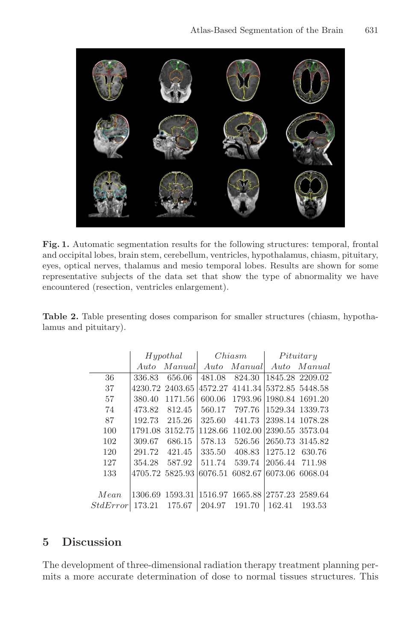<span id="page-4-0"></span>

**Fig. 1.** Automatic segmentation results for the following structures: temporal, frontal and occipital lobes, brain stem, cerebellum, ventricles, hypothalamus, chiasm, pituitary, eyes, optical nerves, thalamus and mesio temporal lobes. Results are shown for some representative subjects of the data set that show the type of abnormality we have encountered (resection, ventricles enlargement).

|                       |  | <b>Table 2.</b> Table presenting doses comparison for smaller structures (chiasm, hypotha- |  |  |  |
|-----------------------|--|--------------------------------------------------------------------------------------------|--|--|--|
| lamus and pituitary). |  |                                                                                            |  |  |  |

|                 | Hypothal    |                 | Chiasm  |         | Pituitary |                 |
|-----------------|-------------|-----------------|---------|---------|-----------|-----------------|
|                 | $Aut\alpha$ | Manual          | Auto    | Manual  | Auto      | Manual          |
| 36              | 336.83      | 656.06          | 481.08  | 824.30  |           | 1845.28 2209.02 |
| 37              |             | 4230.72 2403.65 | 4572.27 | 4141.34 |           | 5372.85 5448.58 |
| 57              | 380.40      | 1171.56         | 600.06  | 1793.96 |           | 1980.84 1691.20 |
| 74              | 473.82      | 812.45          | 560.17  | 797.76  |           | 1529.34 1339.73 |
| 87              | 192.73      | 215.26          | 325.60  | 441.73  |           | 2398.14 1078.28 |
| 100             | 1791.08     | 3152.75         | 1128.66 | 1102.00 |           | 2390.55 3573.04 |
| 102             | 309.67      | 686.15          | 578.13  | 526.56  |           | 2650.73 3145.82 |
| 120             | 291.72      | 421.45          | 335.50  | 408.83  | 1275.12   | 630.76          |
| 127             | 354.28      | 587.92          | 511.74  | 539.74  | 2056.44   | 711.98          |
| 133             |             | 4705.72 5825.93 | 6076.51 | 6082.67 |           | 6073.06 6068.04 |
|                 |             |                 |         |         |           |                 |
| Mean            | 1306.69     | 1593.31         | 1516.97 | 1665.88 |           | 2757.23 2589.64 |
| <i>StdError</i> | 173.21      | 175.67          | 204.97  | 191.70  | 162.41    | 193.53          |

# **5 Discussion**

The development of three-dimensional radiation therapy treatment planning permits a more accurate determination of dose to normal tissues structures. This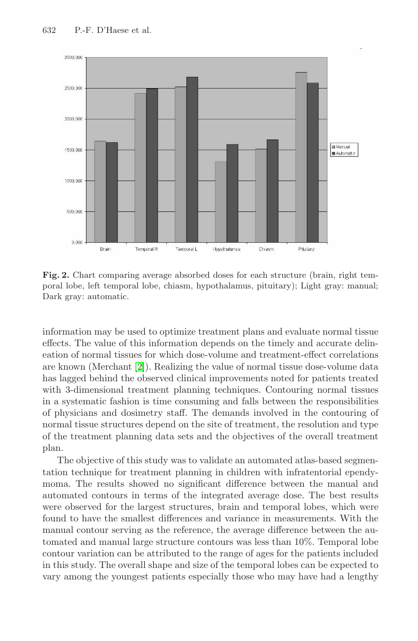<span id="page-5-0"></span>

**Fig. 2.** Chart comparing average absorbed doses for each structure (brain, right temporal lobe, left temporal lobe, chiasm, hypothalamus, pituitary); Light gray: manual; Dark gray: automatic.

information may be used to optimize treatment plans and evaluate normal tissue effects. The value of this information depends on the timely and accurate delineation of normal tissues for which dose-volume and treatment-effect correlations are known (Merchant [\[2\]](#page-6-0)). Realizing the value of normal tissue dose-volume data has lagged behind the observed clinical improvements noted for patients treated with 3-dimensional treatment planning techniques. Contouring normal tissues in a systematic fashion is time consuming and falls between the responsibilities of physicians and dosimetry staff. The demands involved in the contouring of normal tissue structures depend on the site of treatment, the resolution and type of the treatment planning data sets and the objectives of the overall treatment plan.

The objective of this study was to validate an automated atlas-based segmentation technique for treatment planning in children with infratentorial ependymoma. The results showed no significant difference between the manual and automated contours in terms of the integrated average dose. The best results were observed for the largest structures, brain and temporal lobes, which were found to have the smallest differences and variance in measurements. With the manual contour serving as the reference, the average difference between the automated and manual large structure contours was less than 10%. Temporal lobe contour variation can be attributed to the range of ages for the patients included in this study. The overall shape and size of the temporal lobes can be expected to vary among the youngest patients especially those who may have had a lengthy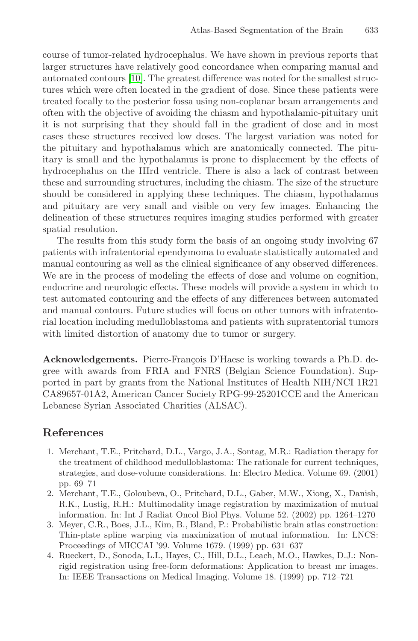<span id="page-6-0"></span>course of tumor-related hydrocephalus. We have shown in previous reports that larger structures have relatively good concordance when comparing manual and automated contours [\[10\]](#page-7-0). The greatest difference was noted for the smallest structures which were often located in the gradient of dose. Since these patients were treated focally to the posterior fossa using non-coplanar beam arrangements and often with the objective of avoiding the chiasm and hypothalamic-pituitary unit it is not surprising that they should fall in the gradient of dose and in most cases these structures received low doses. The largest variation was noted for the pituitary and hypothalamus which are anatomically connected. The pituitary is small and the hypothalamus is prone to displacement by the effects of hydrocephalus on the IIIrd ventricle. There is also a lack of contrast between these and surrounding structures, including the chiasm. The size of the structure should be considered in applying these techniques. The chiasm, hypothalamus and pituitary are very small and visible on very few images. Enhancing the delineation of these structures requires imaging studies performed with greater spatial resolution.

The results from this study form the basis of an ongoing study involving 67 patients with infratentorial ependymoma to evaluate statistically automated and manual contouring as well as the clinical significance of any observed differences. We are in the process of modeling the effects of dose and volume on cognition, endocrine and neurologic effects. These models will provide a system in which to test automated contouring and the effects of any differences between automated and manual contours. Future studies will focus on other tumors with infratentorial location including medulloblastoma and patients with supratentorial tumors with limited distortion of anatomy due to tumor or surgery.

**Acknowledgements.** Pierre-François D'Haese is working towards a Ph.D. degree with awards from FRIA and FNRS (Belgian Science Foundation). Supported in part by grants from the National Institutes of Health NIH/NCI 1R21 CA89657-01A2, American Cancer Society RPG-99-25201CCE and the American Lebanese Syrian Associated Charities (ALSAC).

### **References**

- 1. Merchant, T.E., Pritchard, D.L., Vargo, J.A., Sontag, M.R.: Radiation therapy for the treatment of childhood medulloblastoma: The rationale for current techniques, strategies, and dose-volume considerations. In: Electro Medica. Volume 69. (2001) pp. 69–71
- 2. Merchant, T.E., Goloubeva, O., Pritchard, D.L., Gaber, M.W., Xiong, X., Danish, R.K., Lustig, R.H.: Multimodality image registration by maximization of mutual information. In: Int J Radiat Oncol Biol Phys. Volume 52. (2002) pp. 1264–1270
- 3. Meyer, C.R., Boes, J.L., Kim, B., Bland, P.: Probabilistic brain atlas construction: Thin-plate spline warping via maximization of mutual information. In: LNCS: Proceedings of MICCAI '99. Volume 1679. (1999) pp. 631–637
- 4. Rueckert, D., Sonoda, L.I., Hayes, C., Hill, D.L., Leach, M.O., Hawkes, D.J.: Nonrigid registration using free-form deformations: Application to breast mr images. In: IEEE Transactions on Medical Imaging. Volume 18. (1999) pp. 712–721